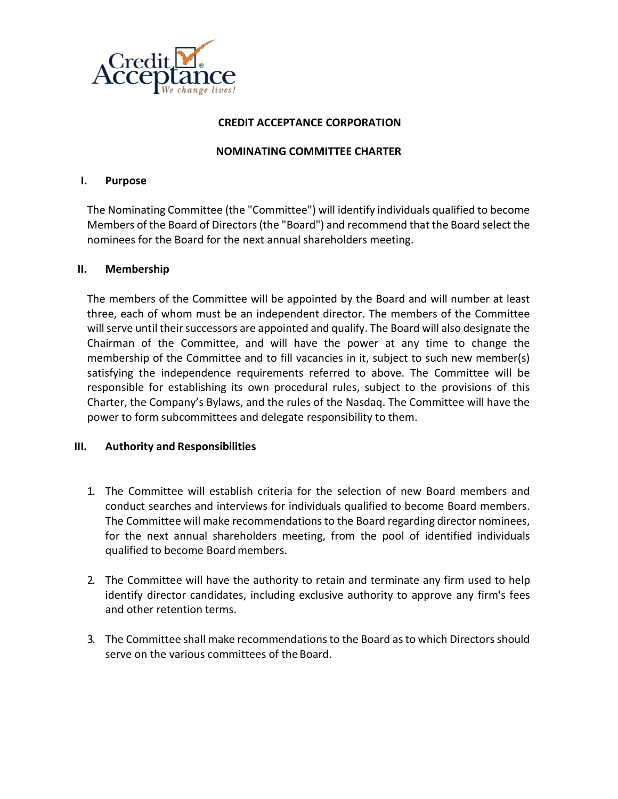

# CREDIT ACCEPTANCE CORPORATION

## NOMINATING COMMITTEE CHARTER

### I. Purpose

The Nominating Committee (the "Committee") will identify individuals qualified to become Members of the Board of Directors (the "Board") and recommend that the Board select the nominees for the Board for the next annual shareholders meeting.

### II. Membership

The members of the Committee will be appointed by the Board and will number at least three, each of whom must be an independent director. The members of the Committee will serve until their successors are appointed and qualify. The Board will also designate the Chairman of the Committee, and will have the power at any time to change the membership of the Committee and to fill vacancies in it, subject to such new member(s) satisfying the independence requirements referred to above. The Committee will be responsible for establishing its own procedural rules, subject to the provisions of this Charter, the Company's Bylaws, and the rules of the Nasdaq. The Committee will have the power to form subcommittees and delegate responsibility to them.

# III. Authority and Responsibilities

- 1. The Committee will establish criteria for the selection of new Board members and conduct searches and interviews for individuals qualified to become Board members. The Committee will make recommendations to the Board regarding director nominees, for the next annual shareholders meeting, from the pool of identified individuals qualified to become Board members.
- 2. The Committee will have the authority to retain and terminate any firm used to help identify director candidates, including exclusive authority to approve any firm's fees and other retention terms.
- 3. The Committee shall make recommendations to the Board as to which Directors should serve on the various committees of the Board.